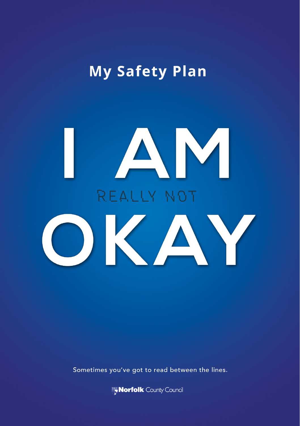# My Safety Plan

# AM REALLY NOT OKAY

Sometimes you've got to read between the lines.

Norfolk County Council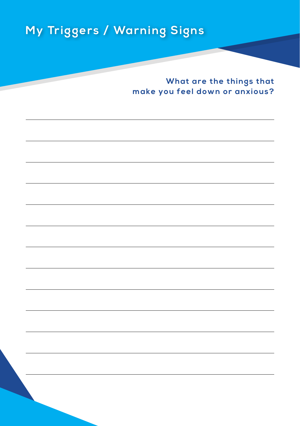## **My Triggers / Warning Signs**

**What are the things that make you feel down or anxious?**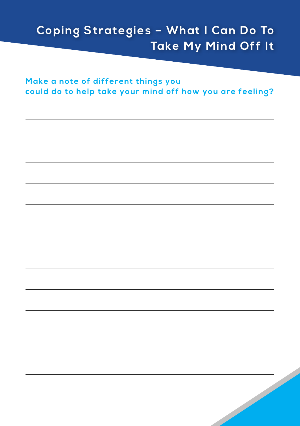## **Coping Strategies - What I Can Do To** Take My Mind Off It

Make a note of different things you could do to help take your mind off how you are feeling?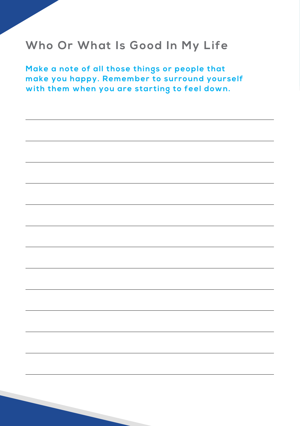#### **Who Or What Is Good In My Life**

**M ake a note of all those things or people that make you happy. Remember to surround yourself with them when you are star ting to feel down.**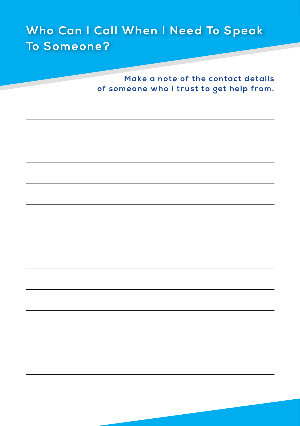#### Who Can I Call When I Need To Speak To Someone?

Make a note of the contact details of someone who I trust to get help from.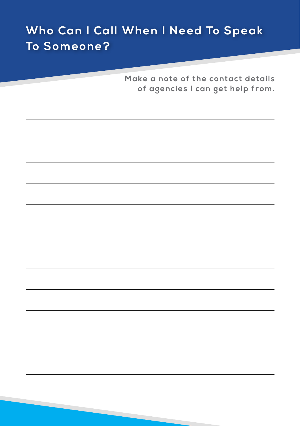### Who Can I Call When I Need To Speak To Someone?

Make a note of the contact details of agencies I can get help from.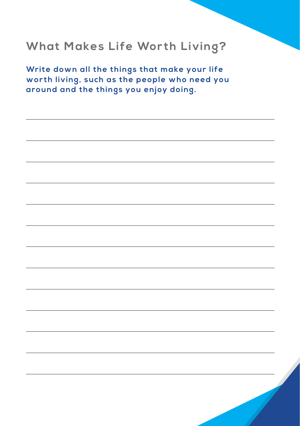#### **What Makes Life Worth Living?**

**Write down all the things that make your life wor th living, such as the people who need you around and the things you enjoy doing.**

 $\overline{\mathcal{L}}$